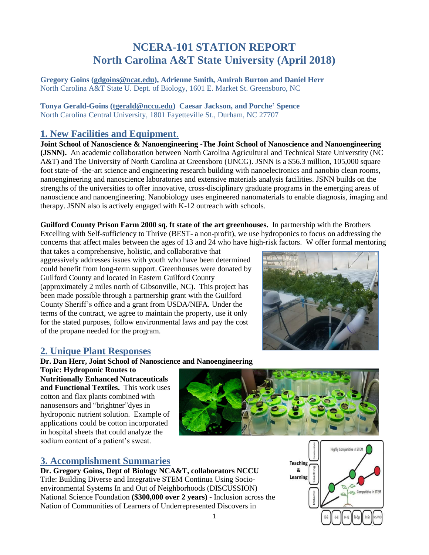# **NCERA-101 STATION REPORT North Carolina A&T State University (April 2018)**

**Gregory Goins [\(gdgoins@ncat.edu\)](mailto:gdgoins@ncat.edu), Adrienne Smith, Amirah Burton and Daniel Herr** North Carolina A&T State U. Dept. of Biology, 1601 E. Market St. Greensboro, NC

**Tonya Gerald-Goins [\(tgerald@nccu.edu\)](mailto:tgerald@nccu.edu) Caesar Jackson, and Porche' Spence** North Carolina Central University, 1801 Fayetteville St., Durham, NC 27707

# **1. New Facilities and Equipment**.

**Joint School of Nanoscience & Nanoengineering -The Joint School of Nanoscience and Nanoengineering (JSNN).** An academic collaboration between North Carolina Agricultural and Technical State Universtity (NC A&T) and The University of North Carolina at Greensboro (UNCG). JSNN is a \$56.3 million, 105,000 square foot state-of -the-art science and engineering research building with nanoelectronics and nanobio clean rooms, nanoengineering and nanoscience laboratories and extensive materials analysis facilities. JSNN builds on the strengths of the universities to offer innovative, cross-disciplinary graduate programs in the emerging areas of nanoscience and nanoengineering. Nanobiology uses engineered nanomaterials to enable diagnosis, imaging and therapy. JSNN also is actively engaged with K-12 outreach with schools.

**Guilford County Prison Farm 2000 sq. ft state of the art greenhouses.** In partnership with the Brothers Excelling with Self-sufficiency to Thrive (BEST- a non-profit), we use hydroponics to focus on addressing the concerns that affect males between the ages of 13 and 24 who have high-risk factors. W offer formal mentoring

that takes a comprehensive, holistic, and collaborative that aggressively addresses issues with youth who have been determined could benefit from long-term support. Greenhouses were donated by Guilford County and located in Eastern Guilford County (approximately 2 miles north of Gibsonville, NC). This project has been made possible through a partnership grant with the Guilford County Sheriff's office and a grant from USDA/NIFA. Under the terms of the contract, we agree to maintain the property, use it only for the stated purposes, follow environmental laws and pay the cost of the propane needed for the program.



# **2. Unique Plant Responses**

**Dr. Dan Herr, Joint School of Nanoscience and Nanoengineering**

**Topic: Hydroponic Routes to Nutritionally Enhanced Nutraceuticals and Functional Textiles.** This work uses cotton and flax plants combined with nanosensors and "brightner"dyes in hydroponic nutrient solution. Example of applications could be cotton incorporated in hospital sheets that could analyze the sodium content of a patient's sweat.



## **3. Accomplishment Summaries**

**Dr. Gregory Goins, Dept of Biology NCA&T, collaborators NCCU** Title: Building Diverse and Integrative STEM Continua Using Socioenvironmental Systems In and Out of Neighborhoods (DISCUSSION) National Science Foundation **(\$300,000 over 2 years) -** Inclusion across the Nation of Communities of Learners of Underrepresented Discovers in

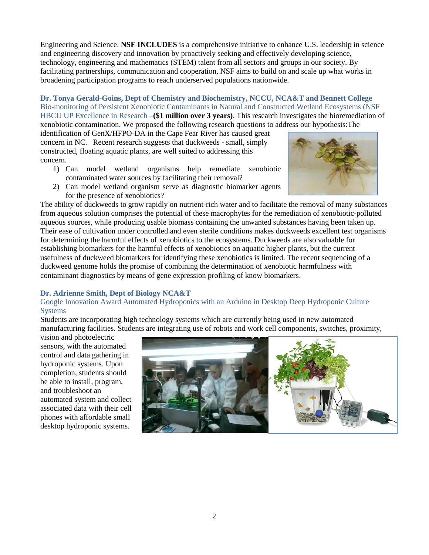Engineering and Science. **NSF INCLUDES** is a comprehensive initiative to enhance U.S. leadership in science and engineering discovery and innovation by proactively seeking and effectively developing science, technology, engineering and mathematics (STEM) talent from all sectors and groups in our society. By facilitating partnerships, communication and cooperation, NSF aims to build on and scale up what works in broadening participation programs to reach underserved populations nationwide.

#### **Dr. Tonya Gerald-Goins, Dept of Chemistry and Biochemistry, NCCU, NCA&T and Bennett College** Bio-monitoring of Persistent Xenobiotic Contaminants in Natural and Constructed Wetland Ecosystems (NSF HBCU UP Excellence in Research –**(\$1 million over 3 years)**. This research investigates the bioremediation of

xenobiotic contamination. We proposed the following research questions to address our hypothesis:The

identification of GenX/HFPO-DA in the Cape Fear River has caused great concern in NC. Recent research suggests that duckweeds - small, simply constructed, floating aquatic plants, are well suited to addressing this concern.

- 1) Can model wetland organisms help remediate xenobiotic contaminated water sources by facilitating their removal?
- 2) Can model wetland organism serve as diagnostic biomarker agents for the presence of xenobiotics?

The ability of duckweeds to grow rapidly on nutrient-rich water and to facilitate the removal of many substances from aqueous solution comprises the potential of these macrophytes for the remediation of xenobiotic-polluted aqueous sources, while producing usable biomass containing the unwanted substances having been taken up. Their ease of cultivation under controlled and even sterile conditions makes duckweeds excellent test organisms for determining the harmful effects of xenobiotics to the ecosystems. Duckweeds are also valuable for establishing biomarkers for the harmful effects of xenobiotics on aquatic higher plants, but the current usefulness of duckweed biomarkers for identifying these xenobiotics is limited. The recent sequencing of a duckweed genome holds the promise of combining the determination of xenobiotic harmfulness with contaminant diagnostics by means of gene expression profiling of know biomarkers.

#### **Dr. Adrienne Smith, Dept of Biology NCA&T**

#### Google Innovation Award Automated Hydroponics with an Arduino in Desktop Deep Hydroponic Culture Systems

Students are incorporating high technology systems which are currently being used in new automated manufacturing facilities. Students are integrating use of robots and work cell components, switches, proximity,

vision and photoelectric sensors, with the automated control and data gathering in hydroponic systems. Upon completion, students should be able to install, program, and troubleshoot an automated system and collect associated data with their cell phones with affordable small desktop hydroponic systems.